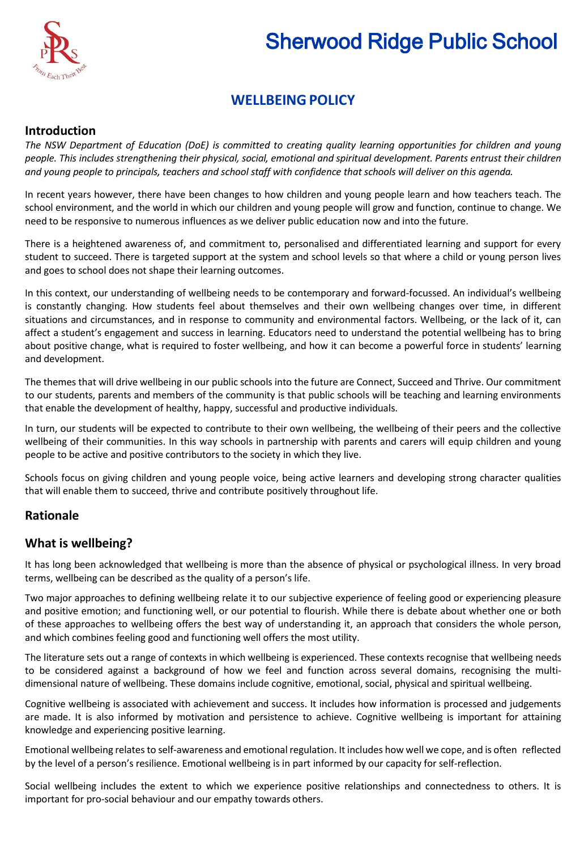

# Sherwood Ridge Public School

# **WELLBEINGPOLICY**

# **Introduction**

The NSW Department of Education (DoE) is committed to creating quality learning opportunities for children and young people. This includes strengthening their physical, social, emotional and spiritual development. Parents entrust their children *and young people to principals, teachers and school staff with confidence that schools will deliver on this agenda.*

In recent years however, there have been changes to how children and young people learn and how teachers teach. The school environment, and the world in which our children and young people will grow and function, continue to change. We need to be responsive to numerous influences as we deliver public education now and into the future.

There is a heightened awareness of, and commitment to, personalised and differentiated learning and support for every student to succeed. There is targeted support at the system and school levels so that where a child or young person lives and goes to school does not shape their learning outcomes.

In this context, our understanding of wellbeing needs to be contemporary and forward-focussed. An individual's wellbeing is constantly changing. How students feel about themselves and their own wellbeing changes over time, in different situations and circumstances, and in response to community and environmental factors. Wellbeing, or the lack of it, can affect a student's engagement and success in learning. Educators need to understand the potential wellbeing has to bring about positive change, what is required to foster wellbeing, and how it can become a powerful force in students' learning and development.

The themes that will drive wellbeing in our public schools into the future are Connect, Succeed and Thrive. Our commitment to our students, parents and members of the community is that public schools will be teaching and learning environments that enable the development of healthy, happy, successful and productive individuals.

In turn, our students will be expected to contribute to their own wellbeing, the wellbeing of their peers and the collective wellbeing of their communities. In this way schools in partnership with parents and carers will equip children and young people to be active and positive contributors to the society in which they live.

Schools focus on giving children and young people voice, being active learners and developing strong character qualities that will enable them to succeed, thrive and contribute positively throughout life.

# **Rationale**

# **What is wellbeing?**

It has long been acknowledged that wellbeing is more than the absence of physical or psychological illness. In very broad terms, wellbeing can be described as the quality of a person's life.

Two major approaches to defining wellbeing relate it to our subjective experience of feeling good or experiencing pleasure and positive emotion; and functioning well, or our potential to flourish. While there is debate about whether one or both of these approaches to wellbeing offers the best way of understanding it, an approach that considers the whole person, and which combines feeling good and functioning well offers the most utility.

The literature sets out a range of contexts in which wellbeing is experienced. These contexts recognise that wellbeing needs to be considered against a background of how we feel and function across several domains, recognising the multidimensional nature of wellbeing. These domains include cognitive, emotional, social, physical and spiritual wellbeing.

Cognitive wellbeing is associated with achievement and success. It includes how information is processed and judgements are made. It is also informed by motivation and persistence to achieve. Cognitive wellbeing is important for attaining knowledge and experiencing positive learning.

Emotional wellbeing relatesto self-awareness and emotional regulation. It includes how well we cope, and is often reflected by the level of a person's resilience. Emotional wellbeing is in part informed by our capacity for self-reflection.

Social wellbeing includes the extent to which we experience positive relationships and connectedness to others. It is important for pro-social behaviour and our empathy towards others.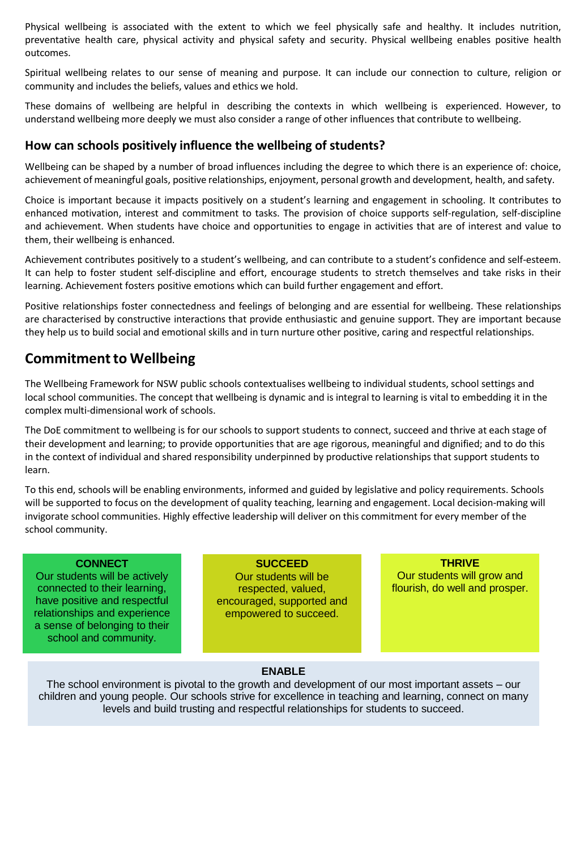Physical wellbeing is associated with the extent to which we feel physically safe and healthy. It includes nutrition, preventative health care, physical activity and physical safety and security. Physical wellbeing enables positive health outcomes.

Spiritual wellbeing relates to our sense of meaning and purpose. It can include our connection to culture, religion or community and includes the beliefs, values and ethics we hold.

These domains of wellbeing are helpful in describing the contexts in which wellbeing is experienced. However, to understand wellbeing more deeply we must also consider a range of other influences that contribute to wellbeing.

# **How can schools positively influence the wellbeing of students?**

Wellbeing can be shaped by a number of broad influences including the degree to which there is an experience of: choice, achievement of meaningful goals, positive relationships, enjoyment, personal growth and development, health, and safety.

Choice is important because it impacts positively on a student's learning and engagement in schooling. It contributes to enhanced motivation, interest and commitment to tasks. The provision of choice supports self-regulation, self-discipline and achievement. When students have choice and opportunities to engage in activities that are of interest and value to them, their wellbeing is enhanced.

Achievement contributes positively to a student's wellbeing, and can contribute to a student's confidence and self-esteem. It can help to foster student self-discipline and effort, encourage students to stretch themselves and take risks in their learning. Achievement fosters positive emotions which can build further engagement and effort.

Positive relationships foster connectedness and feelings of belonging and are essential for wellbeing. These relationships are characterised by constructive interactions that provide enthusiastic and genuine support. They are important because they help us to build social and emotional skills and in turn nurture other positive, caring and respectful relationships.

# **Commitment to Wellbeing**

The Wellbeing Framework for NSW public schools contextualises wellbeing to individual students, school settings and local school communities. The concept that wellbeing is dynamic and is integral to learning is vital to embedding it in the complex multi-dimensional work of schools.

The DoE commitment to wellbeing is for our schools to support students to connect, succeed and thrive at each stage of their development and learning; to provide opportunities that are age rigorous, meaningful and dignified; and to do this in the context of individual and shared responsibility underpinned by productive relationships that support students to learn.

To this end, schools will be enabling environments, informed and guided by legislative and policy requirements. Schools will be supported to focus on the development of quality teaching, learning and engagement. Local decision-making will invigorate school communities. Highly effective leadership will deliver on this commitment for every member of the school community.

#### **CONNECT**

Our students will be actively connected to their learning, have positive and respectful relationships and experience a sense of belonging to their school and community.

**SUCCEED** Our students will be respected, valued, encouraged, supported and empowered to succeed.

**THRIVE** Our students will grow and flourish, do well and prosper.

# **ENABLE**

The school environment is pivotal to the growth and development of our most important assets – our children and young people. Our schools strive for excellence in teaching and learning, connect on many levels and build trusting and respectful relationships for students to succeed.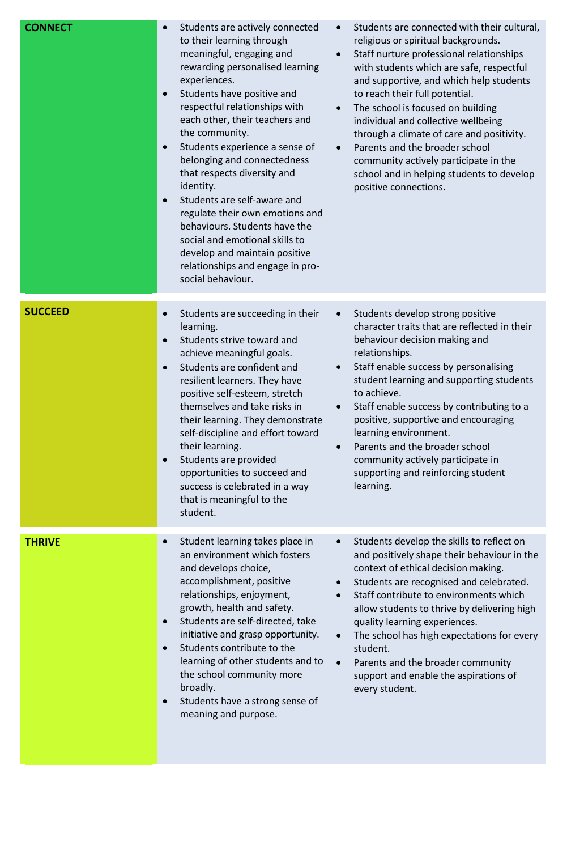| <b>CONNECT</b> | Students are actively connected<br>to their learning through<br>meaningful, engaging and<br>rewarding personalised learning<br>experiences.<br>Students have positive and<br>$\bullet$<br>respectful relationships with<br>each other, their teachers and<br>the community.<br>Students experience a sense of<br>$\bullet$<br>belonging and connectedness<br>that respects diversity and<br>identity.<br>Students are self-aware and<br>regulate their own emotions and<br>behaviours. Students have the<br>social and emotional skills to<br>develop and maintain positive<br>relationships and engage in pro-<br>social behaviour. | Students are connected with their cultural,<br>$\bullet$<br>religious or spiritual backgrounds.<br>Staff nurture professional relationships<br>$\bullet$<br>with students which are safe, respectful<br>and supportive, and which help students<br>to reach their full potential.<br>The school is focused on building<br>$\bullet$<br>individual and collective wellbeing<br>through a climate of care and positivity.<br>Parents and the broader school<br>$\bullet$<br>community actively participate in the<br>school and in helping students to develop<br>positive connections. |
|----------------|--------------------------------------------------------------------------------------------------------------------------------------------------------------------------------------------------------------------------------------------------------------------------------------------------------------------------------------------------------------------------------------------------------------------------------------------------------------------------------------------------------------------------------------------------------------------------------------------------------------------------------------|---------------------------------------------------------------------------------------------------------------------------------------------------------------------------------------------------------------------------------------------------------------------------------------------------------------------------------------------------------------------------------------------------------------------------------------------------------------------------------------------------------------------------------------------------------------------------------------|
| <b>SUCCEED</b> | Students are succeeding in their<br>$\bullet$<br>learning.<br>Students strive toward and<br>achieve meaningful goals.<br>Students are confident and<br>$\bullet$<br>resilient learners. They have<br>positive self-esteem, stretch<br>themselves and take risks in<br>their learning. They demonstrate<br>self-discipline and effort toward<br>their learning.<br>Students are provided<br>opportunities to succeed and<br>success is celebrated in a way<br>that is meaningful to the<br>student.                                                                                                                                   | Students develop strong positive<br>$\bullet$<br>character traits that are reflected in their<br>behaviour decision making and<br>relationships.<br>Staff enable success by personalising<br>$\bullet$<br>student learning and supporting students<br>to achieve.<br>Staff enable success by contributing to a<br>$\bullet$<br>positive, supportive and encouraging<br>learning environment.<br>Parents and the broader school<br>community actively participate in<br>supporting and reinforcing student<br>learning.                                                                |
| <b>THRIVE</b>  | Student learning takes place in<br>an environment which fosters<br>and develops choice,<br>accomplishment, positive<br>relationships, enjoyment,<br>growth, health and safety.<br>Students are self-directed, take<br>$\bullet$<br>initiative and grasp opportunity.<br>Students contribute to the<br>learning of other students and to<br>the school community more<br>broadly.<br>Students have a strong sense of<br>$\bullet$<br>meaning and purpose.                                                                                                                                                                             | Students develop the skills to reflect on<br>$\bullet$<br>and positively shape their behaviour in the<br>context of ethical decision making.<br>Students are recognised and celebrated.<br>$\bullet$<br>Staff contribute to environments which<br>$\bullet$<br>allow students to thrive by delivering high<br>quality learning experiences.<br>The school has high expectations for every<br>$\bullet$<br>student.<br>Parents and the broader community<br>$\bullet$<br>support and enable the aspirations of<br>every student.                                                       |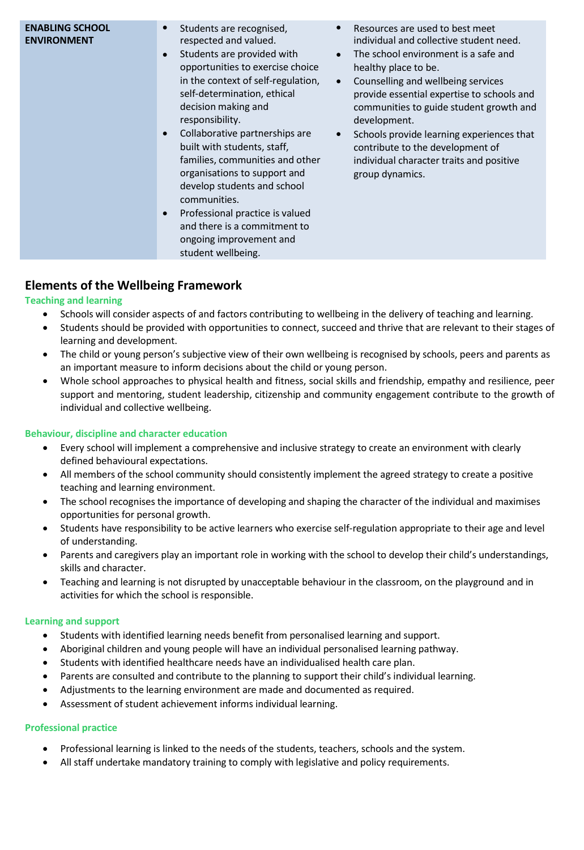# **Elements of the Wellbeing Framework**

# **Teaching and learning**

- Schools will consider aspects of and factors contributing to wellbeing in the delivery of teaching and learning.
- Students should be provided with opportunities to connect, succeed and thrive that are relevant to their stages of learning and development.
- The child or young person's subjective view of their own wellbeing is recognised by schools, peers and parents as an important measure to inform decisions about the child or young person.
- Whole school approaches to physical health and fitness, social skills and friendship, empathy and resilience, peer support and mentoring, student leadership, citizenship and community engagement contribute to the growth of individual and collective wellbeing.

#### **Behaviour, discipline and character education**

- Every school will implement a comprehensive and inclusive strategy to create an environment with clearly defined behavioural expectations.
- All members of the school community should consistently implement the agreed strategy to create a positive teaching and learning environment.
- The school recognises the importance of developing and shaping the character of the individual and maximises opportunities for personal growth.
- Students have responsibility to be active learners who exercise self-regulation appropriate to their age and level of understanding.
- Parents and caregivers play an important role in working with the school to develop their child's understandings, skills and character.
- Teaching and learning is not disrupted by unacceptable behaviour in the classroom, on the playground and in activities for which the school is responsible.

#### **Learning and support**

- Students with identified learning needs benefit from personalised learning and support.
- Aboriginal children and young people will have an individual personalised learning pathway.
- Students with identified healthcare needs have an individualised health care plan.
- Parents are consulted and contribute to the planning to support their child's individual learning.
- Adjustments to the learning environment are made and documented as required.
- Assessment of student achievement informs individual learning.

#### **Professional practice**

- Professional learning is linked to the needs of the students, teachers, schools and the system.
- All staff undertake mandatory training to comply with legislative and policy requirements.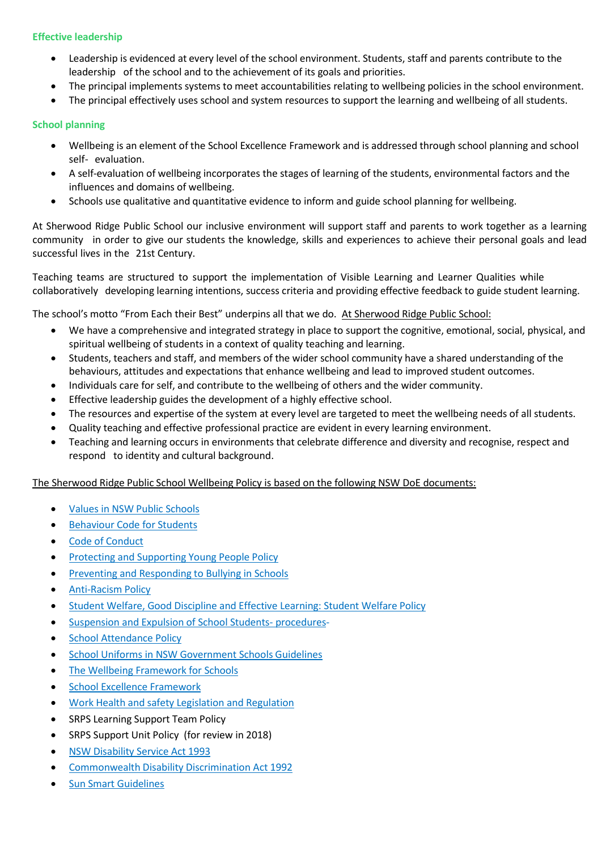#### **Effective leadership**

- Leadership is evidenced at every level of the school environment. Students, staff and parents contribute to the leadership of the school and to the achievement of its goals and priorities.
- The principal implements systems to meet accountabilities relating to wellbeing policies in the school environment.
- The principal effectively uses school and system resources to support the learning and wellbeing of all students.

#### **School planning**

- Wellbeing is an element of the School Excellence Framework and is addressed through school planning and school self- evaluation.
- A self-evaluation of wellbeing incorporates the stages of learning of the students, environmental factors and the influences and domains of wellbeing.
- Schools use qualitative and quantitative evidence to inform and guide school planning for wellbeing.

At Sherwood Ridge Public School our inclusive environment will support staff and parents to work together as a learning community in order to give our students the knowledge, skills and experiences to achieve their personal goals and lead successful lives in the 21st Century.

Teaching teams are structured to support the implementation of Visible Learning and Learner Qualities while collaboratively developing learning intentions, success criteria and providing effective feedback to guide student learning.

The school's motto "From Each their Best" underpins all that we do. At Sherwood Ridge Public School:

- We have a comprehensive and integrated strategy in place to support the cognitive, emotional, social, physical, and spiritual wellbeing of students in a context of quality teaching and learning.
- Students, teachers and staff, and members of the wider school community have a shared understanding of the behaviours, attitudes and expectations that enhance wellbeing and lead to improved student outcomes.
- Individuals care for self, and contribute to the wellbeing of others and the wider community.
- Effective leadership guides the development of a highly effective school.
- The resources and expertise of the system at every level are targeted to meet the wellbeing needs of all students.
- Quality teaching and effective professional practice are evident in every learning environment.
- Teaching and learning occurs in environments that celebrate difference and diversity and recognise, respect and respond to identity and cultural background.

The Sherwood Ridge Public School Wellbeing Policy is based on the following NSW DoE documents:

- Values in NSW Public [Schools](http://www.schools.nsw.edu.au/studentsupport/studentwellbeing/values/index.php)
- **•** [Behaviour](http://www.dec.nsw.gov.au/about-the-department/our-reforms/supported-students-successful-students/behaviour-code-for-students) Code for Students
- Code of [Conduct](https://www.det.nsw.edu.au/policies/staff/ethical_behav/conduct/Code_guide.pdf)
- **[Protecting and](https://www.det.nsw.edu.au/policies/student_serv/child_protection/prot_children/PD20020067.shtml?level) Supporting Young People Policy**
- **•** [Preventing and](https://www.det.nsw.edu.au/policies/student_serv/discipline/bullying/PD20100415.shtml?level) Responding to Bullying in Schools
- [Anti-Racism](https://detwww.det.nsw.edu.au/policies/student_serv/equity/antiracism/PD20050235_i.shtml?level) Policy
- **[Student Welfare,](https://www.det.nsw.edu.au/policies/student_serv/student_welfare/stude_welf/pd02_52_student_welfare.pdf) Good Discipline and Effective Learning: Student Welfare Policy**
- [Suspension and](https://www.det.nsw.edu.au/policies/media/media/socialinclusiondownloads/suspol_07.pdf) Expulsion of School Students- procedures-
- School [Attendance](https://www.det.nsw.edu.au/policies/student_admin/attendance/sch_polproc/PD20050259.shtml?level=Schools&categories=Schools%7cstudent%2Badministration%7cattendance) Policy
- School Uniforms in NSW [Government Schools](http://www.schools.nsw.edu.au/media/downloads/schoolsweb/studentsupport/studentwellbeing/schuniforms.pdf) Guidelines
- The [Wellbeing Framework](https://www.det.nsw.edu.au/wellbeing/about/16531_Wellbeing-Framework-for-schools_Acessible.pdf) for Schools
- **School Excellence [Framework](https://www.det.nsw.edu.au/media/downloads/about-us/our-reforms/school-excellence/School_Excellence_Framework.pdf)**
- Work Health and safety [Legislation and](https://detwww.det.nsw.edu.au/workhealthandsafety) Regulation
- SRPS Learning Support Team Policy
- SRPS Support Unit Policy (for review in 2018)
- NSW [Disability](http://www.legislation.nsw.gov.au/viewtop/inforce/act%2B3%2B1993%2BFIRST%2B0%2BN/) Service Act 1993
- Commonwealth Disability [Discrimination Act](https://www.comlaw.gov.au/Series/C2004A04426) 1992
- **•** Sun Smart [Guidelines](http://www.schools.nsw.edu.au/studentsupport/studenthealth/sun-safety/index.php)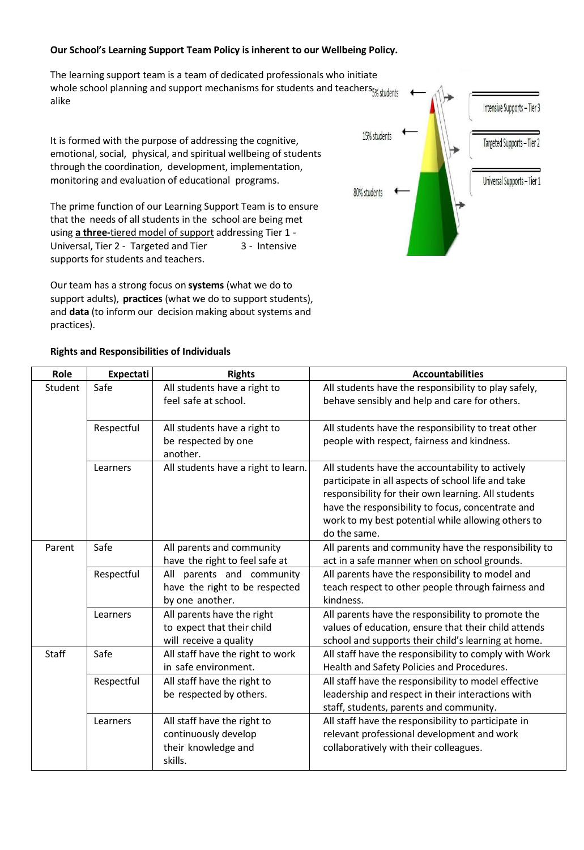#### **Our School's Learning Support Team Policy is inherent to our Wellbeing Policy.**

The learning support team is a team of dedicated professionals who initiate whole school planning and support mechanisms for students and teachers<sub>5% students</sub> alike

It is formed with the purpose of addressing the cognitive, emotional, social, physical, and spiritual wellbeing of students through the coordination, development, implementation, monitoring and evaluation of educational programs.

The prime function of our Learning Support Team is to ensure that the needs of all students in the school are being met using **a three-**tiered model of support addressing Tier 1 - Universal, Tier 2 - Targeted and Tier 3 - Intensive supports for students and teachers.

Our team has a strong focus on **systems** (what we do to support adults), **practices** (what we do to support students), and **data** (to inform our decision making about systems and practices).



#### **Rights and Responsibilities of Individuals**

| Role         | <b>Expectati</b> | <b>Rights</b>                                            | <b>Accountabilities</b>                                                                                   |
|--------------|------------------|----------------------------------------------------------|-----------------------------------------------------------------------------------------------------------|
| Student      | Safe             | All students have a right to                             | All students have the responsibility to play safely,                                                      |
|              |                  | feel safe at school.                                     | behave sensibly and help and care for others.                                                             |
|              | Respectful       | All students have a right to                             | All students have the responsibility to treat other                                                       |
|              |                  | be respected by one<br>another.                          | people with respect, fairness and kindness.                                                               |
|              | Learners         | All students have a right to learn.                      | All students have the accountability to actively                                                          |
|              |                  |                                                          | participate in all aspects of school life and take<br>responsibility for their own learning. All students |
|              |                  |                                                          | have the responsibility to focus, concentrate and                                                         |
|              |                  |                                                          | work to my best potential while allowing others to<br>do the same.                                        |
| Parent       | Safe             | All parents and community                                | All parents and community have the responsibility to                                                      |
|              |                  | have the right to feel safe at                           | act in a safe manner when on school grounds.                                                              |
|              | Respectful       | All parents and community                                | All parents have the responsibility to model and                                                          |
|              |                  | have the right to be respected                           | teach respect to other people through fairness and                                                        |
|              |                  | by one another.                                          | kindness.                                                                                                 |
|              | Learners         | All parents have the right                               | All parents have the responsibility to promote the                                                        |
|              |                  | to expect that their child                               | values of education, ensure that their child attends                                                      |
|              |                  | will receive a quality                                   | school and supports their child's learning at home.                                                       |
| <b>Staff</b> | Safe             | All staff have the right to work<br>in safe environment. | All staff have the responsibility to comply with Work<br>Health and Safety Policies and Procedures.       |
|              | Respectful       | All staff have the right to                              | All staff have the responsibility to model effective                                                      |
|              |                  | be respected by others.                                  | leadership and respect in their interactions with                                                         |
|              |                  |                                                          | staff, students, parents and community.                                                                   |
|              | Learners         | All staff have the right to                              | All staff have the responsibility to participate in                                                       |
|              |                  | continuously develop                                     | relevant professional development and work                                                                |
|              |                  | their knowledge and<br>skills.                           | collaboratively with their colleagues.                                                                    |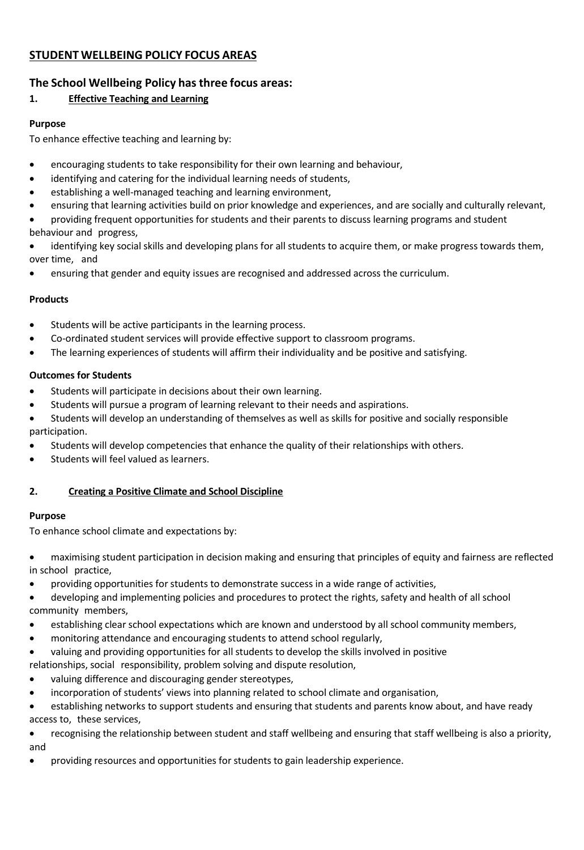# **STUDENT WELLBEING POLICY FOCUS AREAS**

# **The School Wellbeing Policy has three focus areas:**

# **1. Effective Teaching and Learning**

#### **Purpose**

To enhance effective teaching and learning by:

- encouraging students to take responsibility for their own learning and behaviour,
- identifying and catering for the individual learning needs of students,
- establishing a well-managed teaching and learning environment,
- ensuring that learning activities build on prior knowledge and experiences, and are socially and culturally relevant,
- providing frequent opportunities for students and their parents to discuss learning programs and student behaviour and progress,
- identifying key social skills and developing plans for all students to acquire them, or make progress towards them, over time, and
- ensuring that gender and equity issues are recognised and addressed across the curriculum.

#### **Products**

- Students will be active participants in the learning process.
- Co-ordinated student services will provide effective support to classroom programs.
- The learning experiences of students will affirm their individuality and be positive and satisfying.

#### **Outcomes for Students**

- Students will participate in decisions about their own learning.
- Students will pursue a program of learning relevant to their needs and aspirations.
- Students will develop an understanding of themselves as well as skills for positive and socially responsible participation.
- Students will develop competencies that enhance the quality of their relationships with others.
- Students will feel valued as learners.

# **2. Creating a Positive Climate and School Discipline**

#### **Purpose**

To enhance school climate and expectations by:

- maximising student participation in decision making and ensuring that principles of equity and fairness are reflected in school practice,
- providing opportunities for students to demonstrate success in a wide range of activities,
- developing and implementing policies and procedures to protect the rights, safety and health of all school community members,
- establishing clear school expectations which are known and understood by all school community members,
- monitoring attendance and encouraging students to attend school regularly,
- valuing and providing opportunities for all students to develop the skills involved in positive
- relationships, social responsibility, problem solving and dispute resolution,
- valuing difference and discouraging gender stereotypes,
- incorporation of students' views into planning related to school climate and organisation,

 establishing networks to support students and ensuring that students and parents know about, and have ready access to, these services,

- recognising the relationship between student and staff wellbeing and ensuring that staff wellbeing is also a priority, and
- providing resources and opportunities for students to gain leadership experience.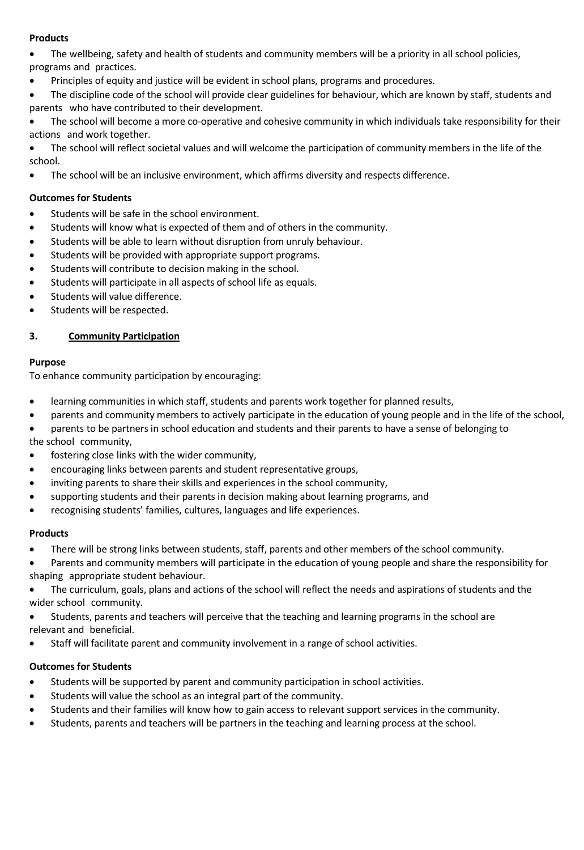# **Products**

- The wellbeing, safety and health of students and community members will be a priority in all school policies, programs and practices.
- Principles of equity and justice will be evident in school plans, programs and procedures.
- The discipline code of the school will provide clear guidelines for behaviour, which are known by staff, students and parents who have contributed to their development.
- The school will become a more co-operative and cohesive community in which individuals take responsibility for their actions and work together.
- The school will reflect societal values and will welcome the participation of community members in the life of the school.
- The school will be an inclusive environment, which affirms diversity and respects difference.

#### **Outcomes for Students**

- Students will be safe in the school environment.
- Students will know what is expected of them and of others in the community.
- Students will be able to learn without disruption from unruly behaviour.
- Students will be provided with appropriate support programs.
- Students will contribute to decision making in the school.
- Students will participate in all aspects of school life as equals.
- **•** Students will value difference.
- Students will be respected.

#### **3. Community Participation**

#### **Purpose**

To enhance community participation by encouraging:

- learning communities in which staff, students and parents work together for planned results,
- parents and community members to actively participate in the education of young people and in the life of the school,
- parents to be partners in school education and students and their parents to have a sense of belonging to the school community,
- fostering close links with the wider community,
- encouraging links between parents and student representative groups,
- inviting parents to share their skills and experiences in the school community,
- supporting students and their parents in decision making about learning programs, and
- recognising students' families, cultures, languages and life experiences.

#### **Products**

There will be strong links between students, staff, parents and other members of the school community.

 Parents and community members will participate in the education of young people and share the responsibility for shaping appropriate student behaviour.

- The curriculum, goals, plans and actions of the school will reflect the needs and aspirations of students and the wider school community.
- Students, parents and teachers will perceive that the teaching and learning programs in the school are relevant and beneficial.
- Staff will facilitate parent and community involvement in a range of school activities.

#### **Outcomes for Students**

- Students will be supported by parent and community participation in school activities.
- Students will value the school as an integral part of the community.
- Students and their families will know how to gain access to relevant support services in the community.
- Students, parents and teachers will be partners in the teaching and learning process at the school.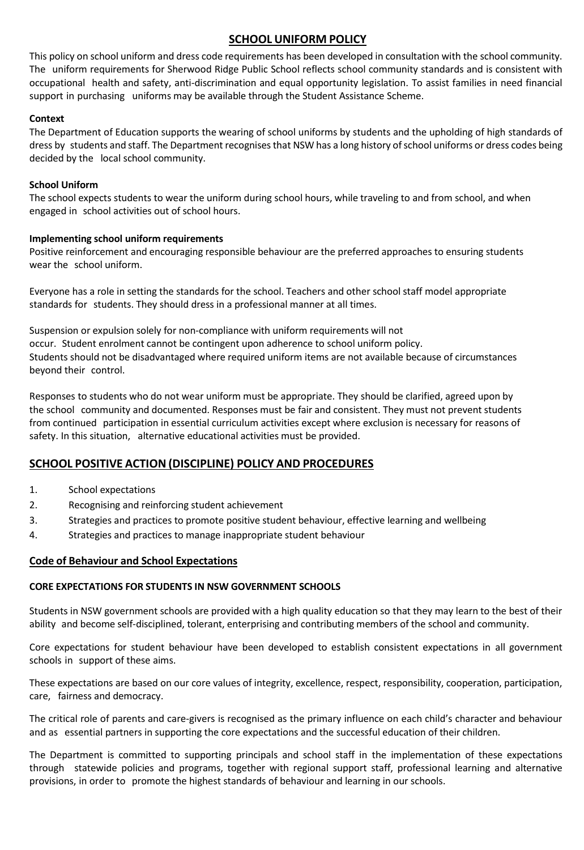# **SCHOOL UNIFORM POLICY**

This policy on school uniform and dress code requirements has been developed in consultation with the school community. The uniform requirements for Sherwood Ridge Public School reflects school community standards and is consistent with occupational health and safety, anti-discrimination and equal opportunity legislation. To assist families in need financial support in purchasing uniforms may be available through the Student Assistance Scheme.

#### **Context**

The Department of Education supports the wearing of school uniforms by students and the upholding of high standards of dress by students and staff. The Department recognises that NSW has a long history of school uniforms or dress codes being decided by the local school community.

#### **School Uniform**

The school expects students to wear the uniform during school hours, while traveling to and from school, and when engaged in school activities out of school hours.

#### **Implementing school uniform requirements**

Positive reinforcement and encouraging responsible behaviour are the preferred approaches to ensuring students wear the school uniform.

Everyone has a role in setting the standards for the school. Teachers and other school staff model appropriate standards for students. They should dress in a professional manner at all times.

Suspension or expulsion solely for non-compliance with uniform requirements will not occur. Student enrolment cannot be contingent upon adherence to school uniform policy. Students should not be disadvantaged where required uniform items are not available because of circumstances beyond their control.

Responses to students who do not wear uniform must be appropriate. They should be clarified, agreed upon by the school community and documented. Responses must be fair and consistent. They must not prevent students from continued participation in essential curriculum activities except where exclusion is necessary for reasons of safety. In this situation, alternative educational activities must be provided.

# **SCHOOL POSITIVE ACTION (DISCIPLINE) POLICY AND PROCEDURES**

- 1. School expectations
- 2. Recognising and reinforcing student achievement
- 3. Strategies and practices to promote positive student behaviour, effective learning and wellbeing
- 4. Strategies and practices to manage inappropriate student behaviour

# **Code of Behaviour and School Expectations**

#### **CORE EXPECTATIONS FOR STUDENTS IN NSW GOVERNMENT SCHOOLS**

Students in NSW government schools are provided with a high quality education so that they may learn to the best of their ability and become self-disciplined, tolerant, enterprising and contributing members of the school and community.

Core expectations for student behaviour have been developed to establish consistent expectations in all government schools in support of these aims.

These expectations are based on our core values of integrity, excellence, respect, responsibility, cooperation, participation, care, fairness and democracy.

The critical role of parents and care-givers is recognised as the primary influence on each child's character and behaviour and as essential partners in supporting the core expectations and the successful education of their children.

The Department is committed to supporting principals and school staff in the implementation of these expectations through statewide policies and programs, together with regional support staff, professional learning and alternative provisions, in order to promote the highest standards of behaviour and learning in our schools.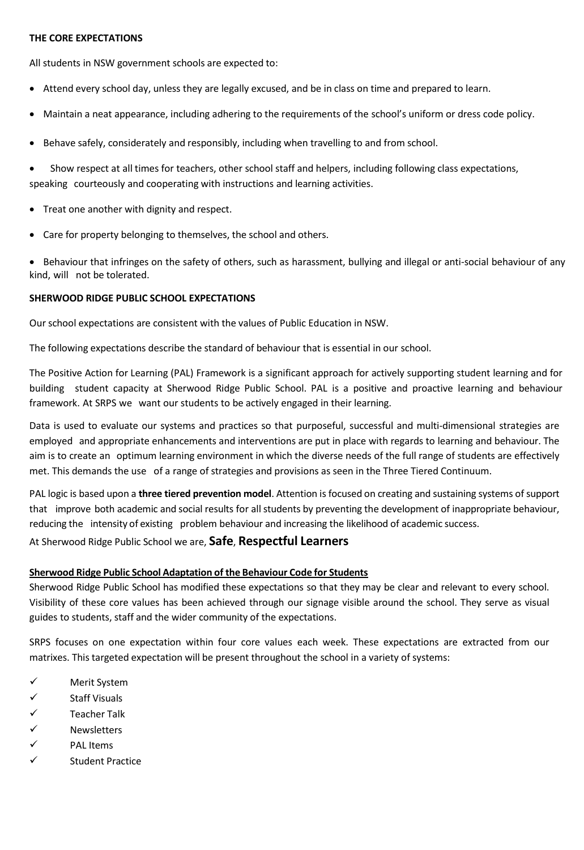#### **THE CORE EXPECTATIONS**

All students in NSW government schools are expected to:

- Attend every school day, unless they are legally excused, and be in class on time and prepared to learn.
- Maintain a neat appearance, including adhering to the requirements of the school's uniform or dress code policy.
- Behave safely, considerately and responsibly, including when travelling to and from school.

 Show respect at all times for teachers, other school staff and helpers, including following class expectations, speaking courteously and cooperating with instructions and learning activities.

- Treat one another with dignity and respect.
- Care for property belonging to themselves, the school and others.

• Behaviour that infringes on the safety of others, such as harassment, bullying and illegal or anti-social behaviour of any kind, will not be tolerated.

#### **SHERWOOD RIDGE PUBLIC SCHOOL EXPECTATIONS**

Our school expectations are consistent with the values of Public Education in NSW.

The following expectations describe the standard of behaviour that is essential in our school.

The Positive Action for Learning (PAL) Framework is a significant approach for actively supporting student learning and for building student capacity at Sherwood Ridge Public School. PAL is a positive and proactive learning and behaviour framework. At SRPS we want our students to be actively engaged in their learning.

Data is used to evaluate our systems and practices so that purposeful, successful and multi-dimensional strategies are employed and appropriate enhancements and interventions are put in place with regards to learning and behaviour. The aim is to create an optimum learning environment in which the diverse needs of the full range of students are effectively met. This demands the use of a range of strategies and provisions as seen in the Three Tiered Continuum.

PAL logic is based upon a **three tiered prevention model**. Attention is focused on creating and sustaining systems ofsupport that improve both academic and social results for all students by preventing the development of inappropriate behaviour, reducing the intensity of existing problem behaviour and increasing the likelihood of academic success.

At Sherwood Ridge Public School we are, **Safe**, **Respectful Learners**

#### **Sherwood Ridge Public School Adaptation of the Behaviour Code for Students**

Sherwood Ridge Public School has modified these expectations so that they may be clear and relevant to every school. Visibility of these core values has been achieved through our signage visible around the school. They serve as visual guides to students, staff and the wider community of the expectations.

SRPS focuses on one expectation within four core values each week. These expectations are extracted from our matrixes. This targeted expectation will be present throughout the school in a variety of systems:

- $\checkmark$  Merit System
- $\checkmark$  Staff Visuals
- $\checkmark$  Teacher Talk
- $\checkmark$  Newsletters
- $\checkmark$  PAL Items
- $\checkmark$  Student Practice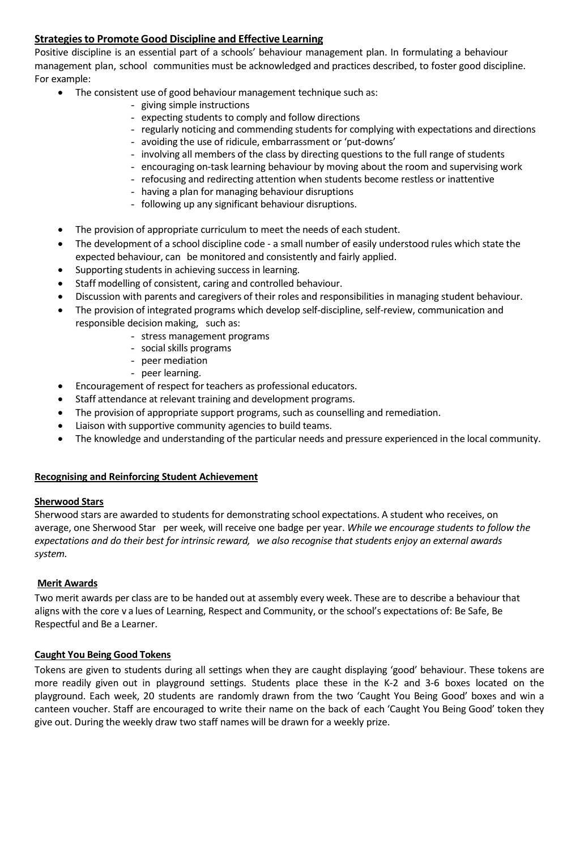# **Strategiesto Promote Good Discipline and Effective Learning**

Positive discipline is an essential part of a schools' behaviour management plan. In formulating a behaviour management plan, school communities must be acknowledged and practices described, to foster good discipline. For example:

- The consistent use of good behaviour management technique such as:
	- giving simple instructions
	- expecting students to comply and follow directions
	- regularly noticing and commending students for complying with expectations and directions
	- avoiding the use of ridicule, embarrassment or 'put-downs'
	- involving all members of the class by directing questions to the full range of students
	- encouraging on-task learning behaviour by moving about the room and supervising work
	- refocusing and redirecting attention when students become restless or inattentive
	- having a plan for managing behaviour disruptions
	- following up any significant behaviour disruptions.
- The provision of appropriate curriculum to meet the needs of each student.
- The development of a school discipline code a small number of easily understood rules which state the expected behaviour, can be monitored and consistently and fairly applied.
- Supporting students in achieving success in learning.
- Staff modelling of consistent, caring and controlled behaviour.
- Discussion with parents and caregivers of their roles and responsibilities in managing student behaviour.
- The provision of integrated programs which develop self-discipline, self-review, communication and responsible decision making, such as:
	- stress management programs
	- social skills programs
	- peer mediation
	- peer learning.
- Encouragement of respect forteachers as professional educators.
- Staff attendance at relevant training and development programs.
- The provision of appropriate support programs, such as counselling and remediation.
- Liaison with supportive community agencies to build teams.
- The knowledge and understanding of the particular needs and pressure experienced in the local community.

#### **Recognising and Reinforcing Student Achievement**

#### **Sherwood Stars**

Sherwood stars are awarded to students for demonstrating school expectations. A student who receives, on average, one Sherwood Star per week, will receive one badge per year. *While we encourage students to follow the expectations and do their best for intrinsic reward, we also recognise that students enjoy an external awards system.*

# **Merit Awards**

Two merit awards per class are to be handed out at assembly every week. These are to describe a behaviour that aligns with the core v a lues of Learning, Respect and Community, or the school's expectations of: Be Safe, Be Respectful and Be a Learner.

#### **Caught You Being Good Tokens**

Tokens are given to students during all settings when they are caught displaying 'good' behaviour. These tokens are more readily given out in playground settings. Students place these in the K-2 and 3-6 boxes located on the playground. Each week, 20 students are randomly drawn from the two 'Caught You Being Good' boxes and win a canteen voucher. Staff are encouraged to write their name on the back of each 'Caught You Being Good' token they give out. During the weekly draw two staff names will be drawn for a weekly prize.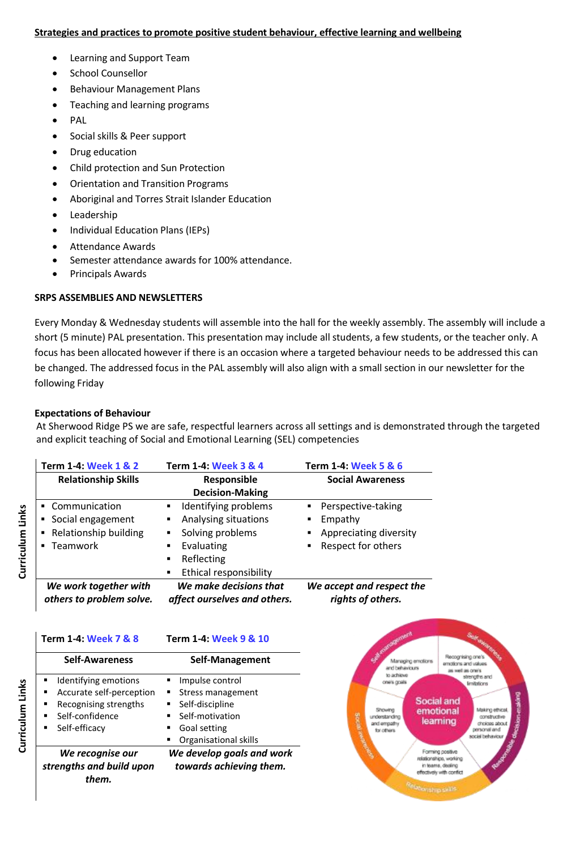#### **Strategies and practices to promote positive student behaviour, effective learning and wellbeing**

- Learning and Support Team
- School Counsellor
- Behaviour Management Plans
- Teaching and learning programs
- PAL
- Social skills & Peer support
- Drug education
- Child protection and Sun Protection
- Orientation and Transition Programs
- Aboriginal and Torres Strait Islander Education
- Leadership
- Individual Education Plans (IEPs)
- Attendance Awards
- Semester attendance awards for 100% attendance.
- Principals Awards

#### **SRPS ASSEMBLIES AND NEWSLETTERS**

Every Monday & Wednesday students will assemble into the hall for the weekly assembly. The assembly will include a short (5 minute) PAL presentation. This presentation may include all students, a few students, or the teacher only. A focus has been allocated however if there is an occasion where a targeted behaviour needs to be addressed this can be changed. The addressed focus in the PAL assembly will also align with a small section in our newsletter for the following Friday

#### **Expectations of Behaviour**

At Sherwood Ridge PS we are safe, respectful learners across all settings and is demonstrated through the targeted and explicit teaching of Social and Emotional Learning (SEL) competencies

| Term 1-4: Week 1 & 2                              | Term 1-4: Week 3 & 4                                   | Term 1-4: Week 5 & 6                           |
|---------------------------------------------------|--------------------------------------------------------|------------------------------------------------|
| <b>Relationship Skills</b>                        | Responsible                                            | <b>Social Awareness</b>                        |
|                                                   | <b>Decision-Making</b>                                 |                                                |
| • Communication                                   | Identifying problems<br>٠                              | Perspective-taking<br>٠                        |
| Social engagement<br>٠                            | Analysing situations<br>٠                              | Empathy<br>٠                                   |
| Relationship building<br>٠                        | Solving problems<br>٠                                  | Appreciating diversity<br>٠                    |
| Teamwork<br>$\blacksquare$                        | Evaluating<br>٠                                        | Respect for others<br>٠                        |
|                                                   | Reflecting<br>٠                                        |                                                |
|                                                   | Ethical responsibility<br>٠                            |                                                |
| We work together with<br>others to problem solve. | We make decisions that<br>affect ourselves and others. | We accept and respect the<br>rights of others. |

# **Term 1-4: Week 7 & 8 Term 1-4: Week 9 & 10**

| <b>Self-Awareness</b>     | Self-Management           |
|---------------------------|---------------------------|
| Identifying emotions<br>٠ | Impulse control           |
| Accurate self-perception  | Stress management<br>٠    |
| Recognising strengths     | Self-discipline<br>٠      |
| Self-confidence           | Self-motivation<br>٠      |
| Self-efficacy             | Goal setting              |
|                           | Organisational skills     |
| We recognise our          | We develop goals and work |
| strengths and build upon  | towards achieving them.   |
| them.                     |                           |



Curriculum Links **Curriculum Links**

Curriculum Links **Curriculum Links**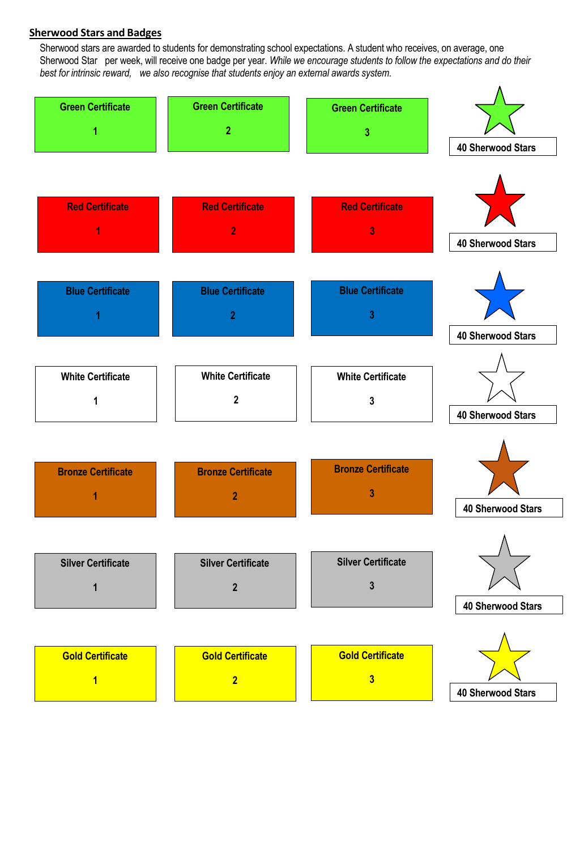# **Sherwood Stars and Badges**

Sherwood stars are awarded to students for demonstrating school expectations. A student who receives, on average, one Sherwood Star per week, will receive one badge per year. *While we encourage students to follow the expectations and do their best for intrinsic reward, we also recognise that students enjoy an external awards system.*

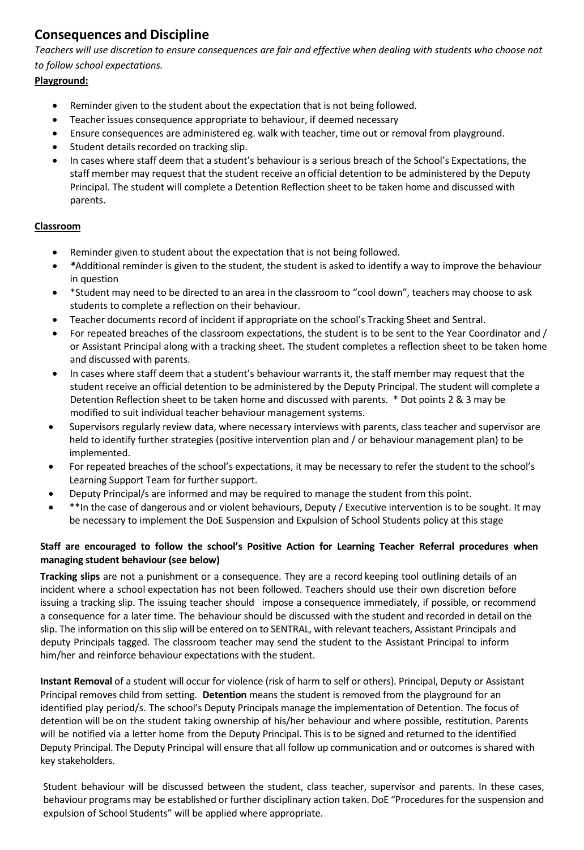# **Consequences and Discipline**

*Teachers will use discretion to ensure consequences are fair and effective when dealing with students who choose not to follow school expectations.*

# **Playground:**

- Reminder given to the student about the expectation that is not being followed.
- Teacher issues consequence appropriate to behaviour, if deemed necessary
- Ensure consequences are administered eg. walk with teacher, time out or removal from playground.
- Student details recorded on tracking slip.
- In cases where staff deem that a student's behaviour is a serious breach of the School's Expectations, the staff member may request that the student receive an official detention to be administered by the Deputy Principal. The student will complete a Detention Reflection sheet to be taken home and discussed with parents.

# **Classroom**

- Reminder given to student about the expectation that is not being followed.
- *\**Additional reminder is given to the student, the student is asked to identify a way to improve the behaviour in question
- \*Student may need to be directed to an area in the classroom to "cool down", teachers may choose to ask students to complete a reflection on their behaviour.
- Teacher documents record of incident if appropriate on the school's Tracking Sheet and Sentral.
- For repeated breaches of the classroom expectations, the student is to be sent to the Year Coordinator and / or Assistant Principal along with a tracking sheet. The student completes a reflection sheet to be taken home and discussed with parents.
- In cases where staff deem that a student's behaviour warrants it, the staff member may request that the student receive an official detention to be administered by the Deputy Principal. The student will complete a Detention Reflection sheet to be taken home and discussed with parents. \* Dot points 2 & 3 may be modified to suit individual teacher behaviour management systems.
- Supervisors regularly review data, where necessary interviews with parents, class teacher and supervisor are held to identify further strategies (positive intervention plan and / or behaviour management plan) to be implemented.
- For repeated breaches of the school's expectations, it may be necessary to refer the student to the school's Learning Support Team for further support.
- Deputy Principal/s are informed and may be required to manage the student from this point.
- \*\*In the case of dangerous and or violent behaviours, Deputy / Executive intervention is to be sought. It may be necessary to implement the DoE Suspension and Expulsion of School Students policy at this stage

# **Staff are encouraged to follow the school's Positive Action for Learning Teacher Referral procedures when managing student behaviour (see below)**

**Tracking slips** are not a punishment or a consequence. They are a record keeping tool outlining details of an incident where a school expectation has not been followed. Teachers should use their own discretion before issuing a tracking slip. The issuing teacher should impose a consequence immediately, if possible, or recommend a consequence for a later time. The behaviour should be discussed with the student and recorded in detail on the slip. The information on this slip will be entered on to SENTRAL, with relevant teachers, Assistant Principals and deputy Principals tagged. The classroom teacher may send the student to the Assistant Principal to inform him/her and reinforce behaviour expectations with the student.

**Instant Removal** of a student will occur for violence (risk of harm to self or others). Principal, Deputy or Assistant Principal removes child from setting. **Detention** means the student is removed from the playground for an identified play period/s. The school's Deputy Principals manage the implementation of Detention. The focus of detention will be on the student taking ownership of his/her behaviour and where possible, restitution. Parents will be notified via a letter home from the Deputy Principal. This is to be signed and returned to the identified Deputy Principal. The Deputy Principal will ensure that all follow up communication and or outcomes is shared with key stakeholders.

Student behaviour will be discussed between the student, class teacher, supervisor and parents. In these cases, behaviour programs may be established or further disciplinary action taken. DoE "Procedures for the suspension and expulsion of School Students" will be applied where appropriate.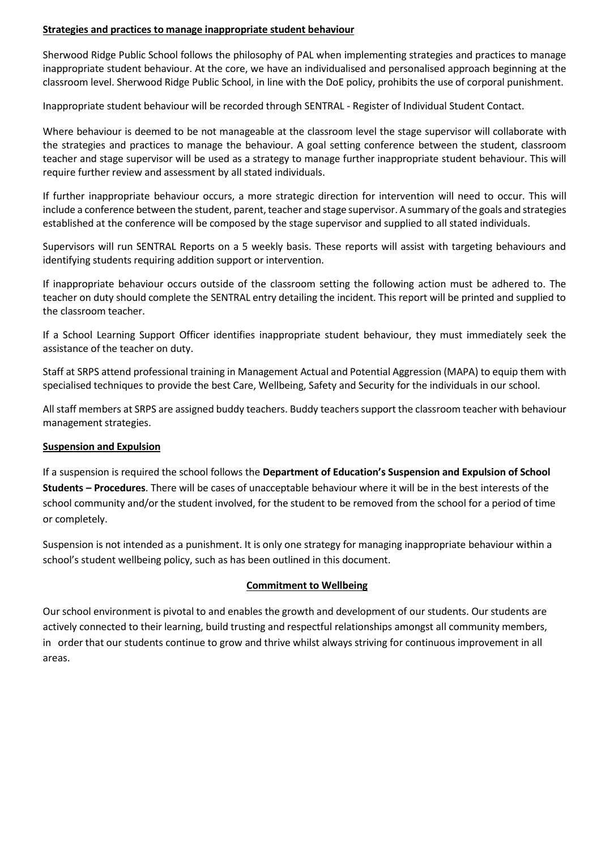#### **Strategies and practices to manage inappropriate student behaviour**

Sherwood Ridge Public School follows the philosophy of PAL when implementing strategies and practices to manage inappropriate student behaviour. At the core, we have an individualised and personalised approach beginning at the classroom level. Sherwood Ridge Public School, in line with the DoE policy, prohibits the use of corporal punishment.

Inappropriate student behaviour will be recorded through SENTRAL - Register of Individual [Student Contact.](http://marilliondesigns.com/riscdets.htm)

Where behaviour is deemed to be not manageable at the classroom level the stage supervisor will collaborate with the strategies and practices to manage the behaviour. A goal setting conference between the student, classroom teacher and stage supervisor will be used as a strategy to manage further inappropriate student behaviour. This will require further review and assessment by all stated individuals.

If further inappropriate behaviour occurs, a more strategic direction for intervention will need to occur. This will include a conference between the student, parent, teacher and stage supervisor. A summary of the goals and strategies established at the conference will be composed by the stage supervisor and supplied to all stated individuals.

Supervisors will run SENTRAL Reports on a 5 weekly basis. These reports will assist with targeting behaviours and identifying students requiring addition support or intervention.

If inappropriate behaviour occurs outside of the classroom setting the following action must be adhered to. The teacher on duty should complete the SENTRAL entry detailing the incident. This report will be printed and supplied to the classroom teacher.

If a School Learning Support Officer identifies inappropriate student behaviour, they must immediately seek the assistance of the teacher on duty.

Staff at SRPS attend professional training in Management Actual and Potential Aggression (MAPA) to equip them with specialised techniques to provide the best Care, Wellbeing, Safety and Security for the individuals in our school.

All staff members at SRPS are assigned buddy teachers. Buddy teacherssupport the classroom teacher with behaviour management strategies.

#### **Suspension and Expulsion**

If a suspension is required the school follows the **Department of Education's Suspension and Expulsion of School Students – Procedures**. There will be cases of unacceptable behaviour where it will be in the best interests of the school community and/or the student involved, for the student to be removed from the school for a period of time or completely.

Suspension is not intended as a punishment. It is only one strategy for managing inappropriate behaviour within a school's student wellbeing policy, such as has been outlined in this document.

#### **Commitment to Wellbeing**

Our school environment is pivotal to and enables the growth and development of our students. Our students are actively connected to their learning, build trusting and respectful relationships amongst all community members, in order that our students continue to grow and thrive whilst always striving for continuous improvement in all areas.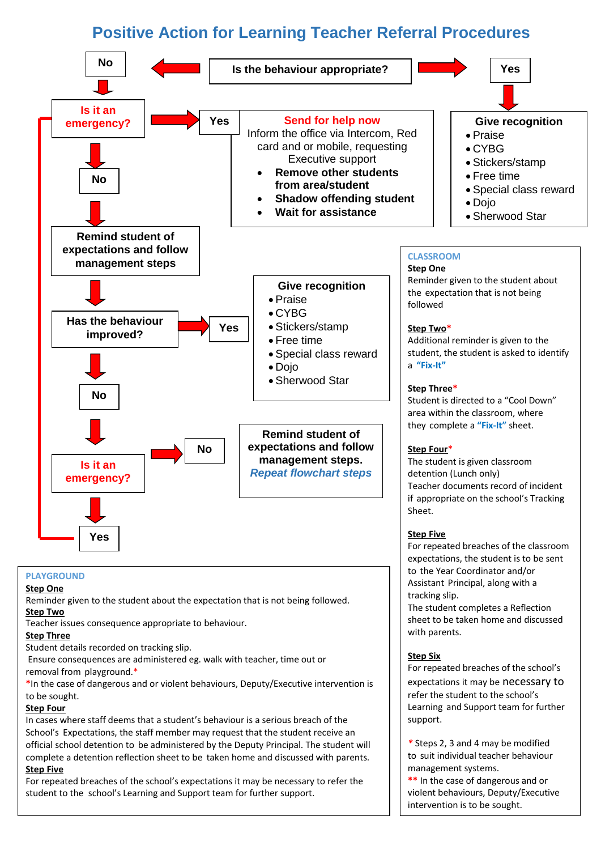# **Positive Action for Learning Teacher Referral Procedures**